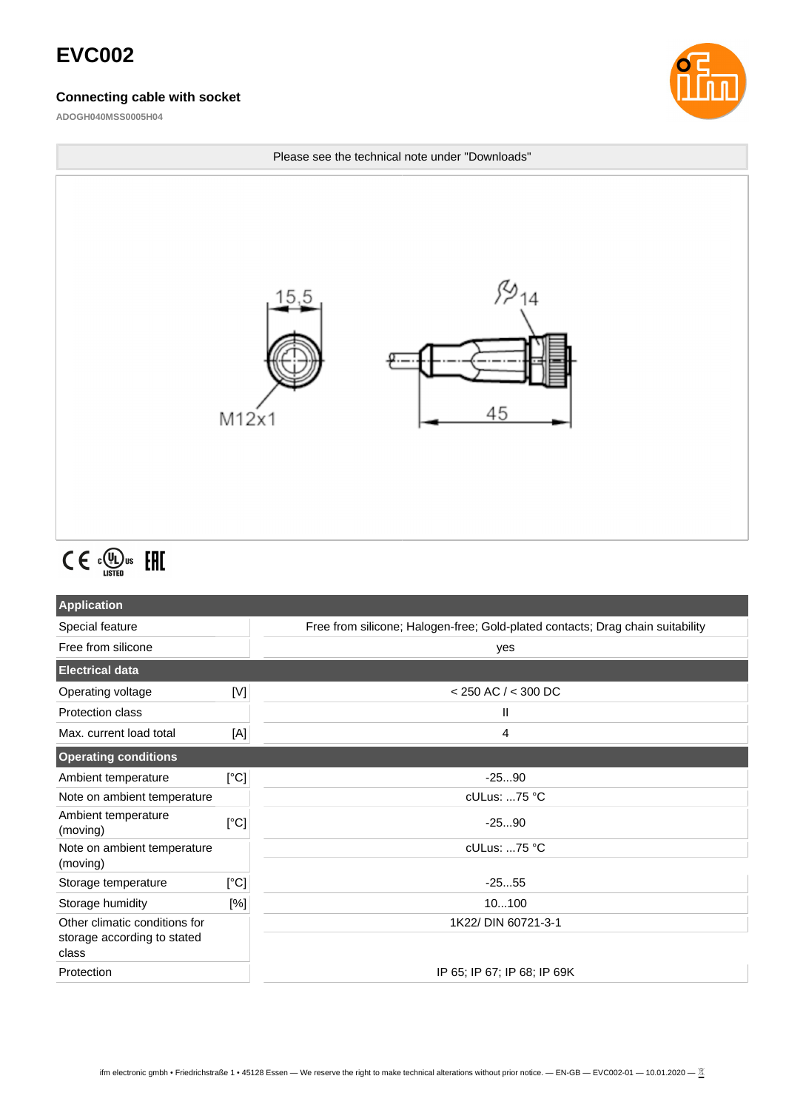## **EVC002**

#### **Connecting cable with socket**

**ADOGH040MSS0005H04**





# $C \in \mathbb{C}^{\text{op}}_{\text{LISTED}}$  EHI

| <b>Application</b>                                                    |      |                                                                                |  |
|-----------------------------------------------------------------------|------|--------------------------------------------------------------------------------|--|
| Special feature                                                       |      | Free from silicone; Halogen-free; Gold-plated contacts; Drag chain suitability |  |
| Free from silicone                                                    |      | yes                                                                            |  |
| <b>Electrical data</b>                                                |      |                                                                                |  |
| Operating voltage                                                     | [V]  | $<$ 250 AC / $<$ 300 DC                                                        |  |
| <b>Protection class</b>                                               |      | Ш                                                                              |  |
| Max. current load total                                               | [A]  | 4                                                                              |  |
| <b>Operating conditions</b>                                           |      |                                                                                |  |
| Ambient temperature                                                   | [°C] | $-2590$                                                                        |  |
| Note on ambient temperature                                           |      | cULus: 75 °C                                                                   |  |
| Ambient temperature<br>(moving)                                       | [°C] | $-2590$                                                                        |  |
| Note on ambient temperature<br>(moving)                               |      | cULus: 75 °C                                                                   |  |
| Storage temperature                                                   | [°C] | $-2555$                                                                        |  |
| Storage humidity                                                      | [%]  | 10100                                                                          |  |
| Other climatic conditions for<br>storage according to stated<br>class |      | 1K22/ DIN 60721-3-1                                                            |  |
| Protection                                                            |      | IP 65; IP 67; IP 68; IP 69K                                                    |  |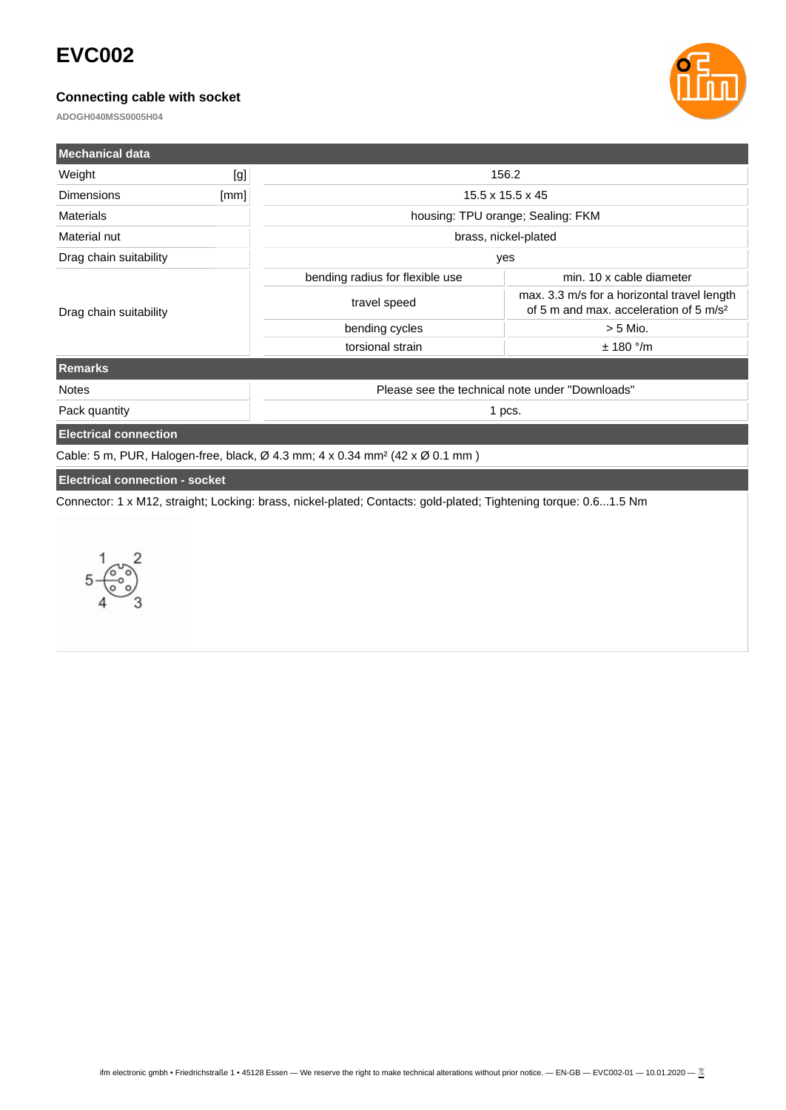## **EVC002**

### **Connecting cable with socket**

**ADOGH040MSS0005H04**



| <b>Mechanical data</b>                |      |                                                                                                                  |                                                                                                   |  |
|---------------------------------------|------|------------------------------------------------------------------------------------------------------------------|---------------------------------------------------------------------------------------------------|--|
| Weight                                | [g]  | 156.2                                                                                                            |                                                                                                   |  |
| <b>Dimensions</b>                     | [mm] | $15.5 \times 15.5 \times 45$                                                                                     |                                                                                                   |  |
| Materials                             |      | housing: TPU orange; Sealing: FKM                                                                                |                                                                                                   |  |
| Material nut                          |      | brass, nickel-plated                                                                                             |                                                                                                   |  |
| Drag chain suitability                |      | yes                                                                                                              |                                                                                                   |  |
| Drag chain suitability                |      | bending radius for flexible use                                                                                  | min. 10 x cable diameter                                                                          |  |
|                                       |      | travel speed                                                                                                     | max. 3.3 m/s for a horizontal travel length<br>of 5 m and max, acceleration of 5 m/s <sup>2</sup> |  |
|                                       |      | bending cycles                                                                                                   | $> 5$ Mio.                                                                                        |  |
|                                       |      | torsional strain                                                                                                 | $±$ 180 $^{\circ}$ /m                                                                             |  |
| <b>Remarks</b>                        |      |                                                                                                                  |                                                                                                   |  |
| <b>Notes</b>                          |      | Please see the technical note under "Downloads"                                                                  |                                                                                                   |  |
| Pack quantity                         |      | 1 pcs.                                                                                                           |                                                                                                   |  |
| <b>Electrical connection</b>          |      |                                                                                                                  |                                                                                                   |  |
|                                       |      | Cable: 5 m, PUR, Halogen-free, black, $\varnothing$ 4.3 mm; 4 x 0.34 mm <sup>2</sup> (42 x $\varnothing$ 0.1 mm) |                                                                                                   |  |
| <b>Electrical connection - socket</b> |      |                                                                                                                  |                                                                                                   |  |

Connector: 1 x M12, straight; Locking: brass, nickel-plated; Contacts: gold-plated; Tightening torque: 0.6...1.5 Nm

 $\overline{2}$  $5 - \frac{6}{9}$